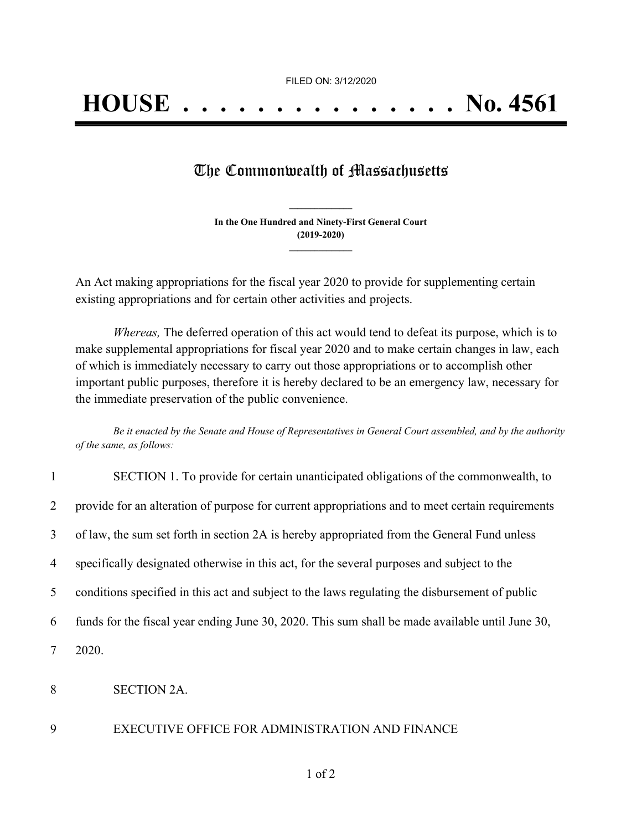## The Commonwealth of Massachusetts

**In the One Hundred and Ninety-First General Court (2019-2020) \_\_\_\_\_\_\_\_\_\_\_\_\_\_\_**

**\_\_\_\_\_\_\_\_\_\_\_\_\_\_\_**

An Act making appropriations for the fiscal year 2020 to provide for supplementing certain existing appropriations and for certain other activities and projects.

*Whereas,* The deferred operation of this act would tend to defeat its purpose, which is to make supplemental appropriations for fiscal year 2020 and to make certain changes in law, each of which is immediately necessary to carry out those appropriations or to accomplish other important public purposes, therefore it is hereby declared to be an emergency law, necessary for the immediate preservation of the public convenience.

Be it enacted by the Senate and House of Representatives in General Court assembled, and by the authority *of the same, as follows:*

| $\mathbf{1}$   | SECTION 1. To provide for certain unanticipated obligations of the commonwealth, to              |
|----------------|--------------------------------------------------------------------------------------------------|
| 2              | provide for an alteration of purpose for current appropriations and to meet certain requirements |
| 3              | of law, the sum set forth in section 2A is hereby appropriated from the General Fund unless      |
| $\overline{4}$ | specifically designated otherwise in this act, for the several purposes and subject to the       |
| 5              | conditions specified in this act and subject to the laws regulating the disbursement of public   |
| 6              | funds for the fiscal year ending June 30, 2020. This sum shall be made available until June 30,  |
| 7              | 2020.                                                                                            |
| 8              | <b>SECTION 2A.</b>                                                                               |

## 9 EXECUTIVE OFFICE FOR ADMINISTRATION AND FINANCE

1 of 2